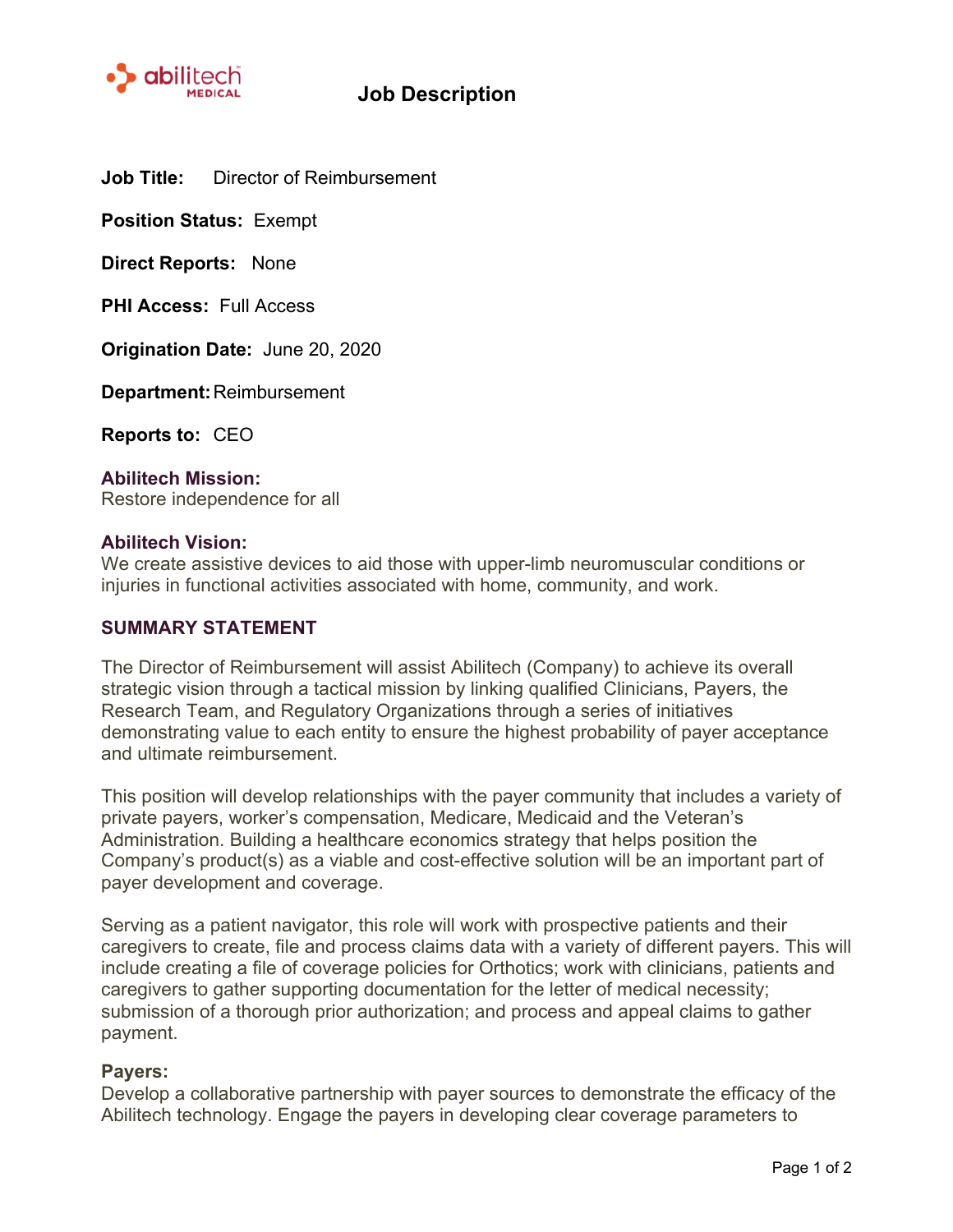

**Job Title:** Director of Reimbursement

**Position Status:** Exempt

**Direct Reports:** None

**PHI Access:** Full Access

**Origination Date:** June 20, 2020

**Department:**Reimbursement

**Reports to:** CEO

**Abilitech Mission:** Restore independence for all

### **Abilitech Vision:**

We create assistive devices to aid those with upper-limb neuromuscular conditions or injuries in functional activities associated with home, community, and work.

### **SUMMARY STATEMENT**

The Director of Reimbursement will assist Abilitech (Company) to achieve its overall strategic vision through a tactical mission by linking qualified Clinicians, Payers, the Research Team, and Regulatory Organizations through a series of initiatives demonstrating value to each entity to ensure the highest probability of payer acceptance and ultimate reimbursement.

This position will develop relationships with the payer community that includes a variety of private payers, worker's compensation, Medicare, Medicaid and the Veteran's Administration. Building a healthcare economics strategy that helps position the Company's product(s) as a viable and cost-effective solution will be an important part of payer development and coverage.

Serving as a patient navigator, this role will work with prospective patients and their caregivers to create, file and process claims data with a variety of different payers. This will include creating a file of coverage policies for Orthotics; work with clinicians, patients and caregivers to gather supporting documentation for the letter of medical necessity; submission of a thorough prior authorization; and process and appeal claims to gather payment.

## **Payers:**

Develop a collaborative partnership with payer sources to demonstrate the efficacy of the Abilitech technology. Engage the payers in developing clear coverage parameters to